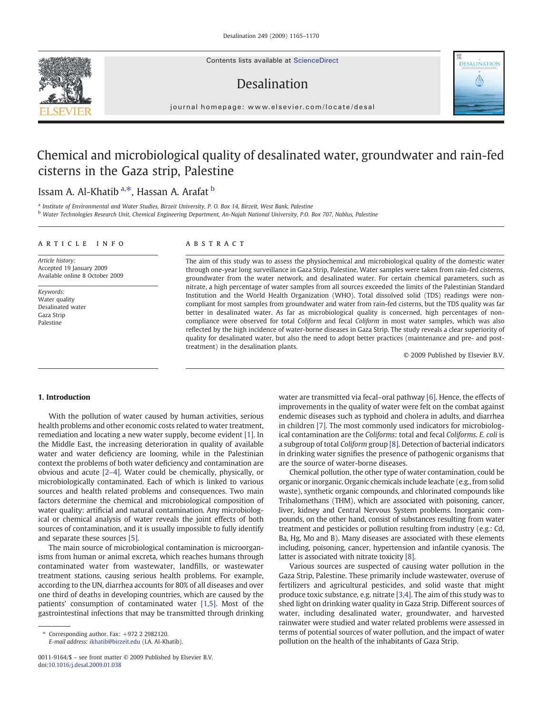Contents lists available at [ScienceDirect](http://www.sciencedirect.com/science/journal/00119164)

# Desalination



journal homepage: www.elsevier.com/locate/desal

# Chemical and microbiological quality of desalinated water, groundwater and rain-fed cisterns in the Gaza strip, Palestine

# Issam A. Al-Khatib <sup>a,\*</sup>, Hassan A. Arafat <sup>b</sup>

<sup>a</sup> Institute of Environmental and Water Studies, Birzeit University, P. O. Box 14, Birzeit, West Bank, Palestine

<sup>b</sup> Water Technologies Research Unit, Chemical Engineering Department, An-Najah National University, P.O. Box 707, Nablus, Palestine

### article info abstract

Article history: Accepted 19 January 2009 Available online 8 October 2009

Keywords: Water quality Desalinated water Gaza Strip Palestine

The aim of this study was to assess the physiochemical and microbiological quality of the domestic water through one-year long surveillance in Gaza Strip, Palestine. Water samples were taken from rain-fed cisterns, groundwater from the water network, and desalinated water. For certain chemical parameters, such as nitrate, a high percentage of water samples from all sources exceeded the limits of the Palestinian Standard Institution and the World Health Organization (WHO). Total dissolved solid (TDS) readings were noncompliant for most samples from groundwater and water from rain-fed cisterns, but the TDS quality was far better in desalinated water. As far as microbiological quality is concerned, high percentages of noncompliance were observed for total Coliform and fecal Coliform in most water samples, which was also reflected by the high incidence of water-borne diseases in Gaza Strip. The study reveals a clear superiority of quality for desalinated water, but also the need to adopt better practices (maintenance and pre- and posttreatment) in the desalination plants.

© 2009 Published by Elsevier B.V.

# 1. Introduction

With the pollution of water caused by human activities, serious health problems and other economic costs related to water treatment, remediation and locating a new water supply, become evident [\[1\]](#page-5-0). In the Middle East, the increasing deterioration in quality of available water and water deficiency are looming, while in the Palestinian context the problems of both water deficiency and contamination are obvious and acute [\[2](#page-5-0)–4]. Water could be chemically, physically, or microbiologically contaminated. Each of which is linked to various sources and health related problems and consequences. Two main factors determine the chemical and microbiological composition of water quality: artificial and natural contamination. Any microbiological or chemical analysis of water reveals the joint effects of both sources of contamination, and it is usually impossible to fully identify and separate these sources [\[5\]](#page-5-0).

The main source of microbiological contamination is microorganisms from human or animal excreta, which reaches humans through contaminated water from wastewater, landfills, or wastewater treatment stations, causing serious health problems. For example, according to the UN, diarrhea accounts for 80% of all diseases and over one third of deaths in developing countries, which are caused by the patients' consumption of contaminated water [\[1,5\]](#page-5-0). Most of the gastrointestinal infections that may be transmitted through drinking

water are transmitted via fecal–oral pathway [\[6\]](#page-5-0). Hence, the effects of improvements in the quality of water were felt on the combat against endemic diseases such as typhoid and cholera in adults, and diarrhea in children [\[7\].](#page-5-0) The most commonly used indicators for microbiological contamination are the Coliforms: total and fecal Coliforms. E. coli is a subgroup of total Coliform group [\[8\].](#page-5-0) Detection of bacterial indicators in drinking water signifies the presence of pathogenic organisms that are the source of water-borne diseases.

Chemical pollution, the other type of water contamination, could be organic or inorganic. Organic chemicals include leachate (e.g., from solid waste), synthetic organic compounds, and chlorinated compounds like Trihalomethans (THM), which are associated with poisoning, cancer, liver, kidney and Central Nervous System problems. Inorganic compounds, on the other hand, consist of substances resulting from water treatment and pesticides or pollution resulting from industry (e.g.: Cd, Ba, Hg, Mo and B). Many diseases are associated with these elements including, poisoning, cancer, hypertension and infantile cyanosis. The latter is associated with nitrate toxicity [\[8\]](#page-5-0).

Various sources are suspected of causing water pollution in the Gaza Strip, Palestine. These primarily include wastewater, overuse of fertilizers and agricultural pesticides, and solid waste that might produce toxic substance, e.g. nitrate [\[3,4\].](#page-5-0) The aim of this study was to shed light on drinking water quality in Gaza Strip. Different sources of water, including desalinated water, groundwater, and harvested rainwater were studied and water related problems were assessed in terms of potential sources of water pollution, and the impact of water pollution on the health of the inhabitants of Gaza Strip.



Corresponding author. Fax: +972 2 2982120. E-mail address: [ikhatib@birzeit.edu](mailto:ikhatib@birzeit.edu) (I.A. Al-Khatib).

<sup>0011-9164/\$</sup> – see front matter © 2009 Published by Elsevier B.V. doi:[10.1016/j.desal.2009.01.038](http://dx.doi.org/10.1016/j.desal.2009.01.038)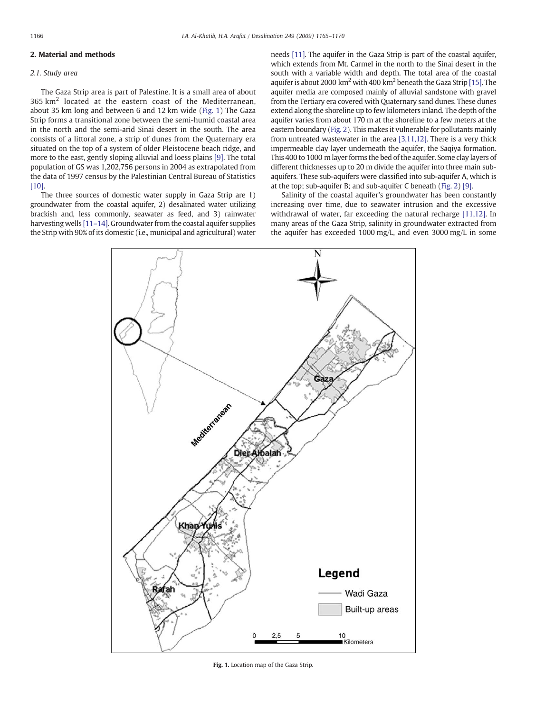# 2. Material and methods

# 2.1. Study area

The Gaza Strip area is part of Palestine. It is a small area of about 365 km<sup>2</sup> located at the eastern coast of the Mediterranean, about 35 km long and between 6 and 12 km wide (Fig. 1) The Gaza Strip forms a transitional zone between the semi-humid coastal area in the north and the semi-arid Sinai desert in the south. The area consists of a littoral zone, a strip of dunes from the Quaternary era situated on the top of a system of older Pleistocene beach ridge, and more to the east, gently sloping alluvial and loess plains [\[9\].](#page-5-0) The total population of GS was 1,202,756 persons in 2004 as extrapolated from the data of 1997 census by the Palestinian Central Bureau of Statistics [\[10\]](#page-5-0).

The three sources of domestic water supply in Gaza Strip are 1) groundwater from the coastal aquifer, 2) desalinated water utilizing brackish and, less commonly, seawater as feed, and 3) rainwater harvesting wells [\[11](#page-5-0)–14]. Groundwater from the coastal aquifer supplies the Strip with 90% of its domestic (i.e., municipal and agricultural) water needs [\[11\]](#page-5-0). The aquifer in the Gaza Strip is part of the coastal aquifer, which extends from Mt. Carmel in the north to the Sinai desert in the south with a variable width and depth. The total area of the coastal aquifer is about 2000 km<sup>2</sup> with 400 km<sup>2</sup> beneath the Gaza Strip [\[15\]](#page-5-0). The aquifer media are composed mainly of alluvial sandstone with gravel from the Tertiary era covered with Quaternary sand dunes. These dunes extend along the shoreline up to few kilometers inland. The depth of the aquifer varies from about 170 m at the shoreline to a few meters at the eastern boundary [\(Fig. 2](#page-2-0)). This makes it vulnerable for pollutants mainly from untreated wastewater in the area [\[3,11,12\].](#page-5-0) There is a very thick impermeable clay layer underneath the aquifer, the Saqiya formation. This 400 to 1000 m layer forms the bed of the aquifer. Some clay layers of different thicknesses up to 20 m divide the aquifer into three main subaquifers. These sub-aquifers were classified into sub-aquifer A, which is at the top; sub-aquifer B; and sub-aquifer C beneath [\(Fig. 2\)](#page-2-0) [\[9\]](#page-5-0).

Salinity of the coastal aquifer's groundwater has been constantly increasing over time, due to seawater intrusion and the excessive withdrawal of water, far exceeding the natural recharge [\[11,12\].](#page-5-0) In many areas of the Gaza Strip, salinity in groundwater extracted from the aquifer has exceeded 1000 mg/L, and even 3000 mg/L in some



Fig. 1. Location map of the Gaza Strip.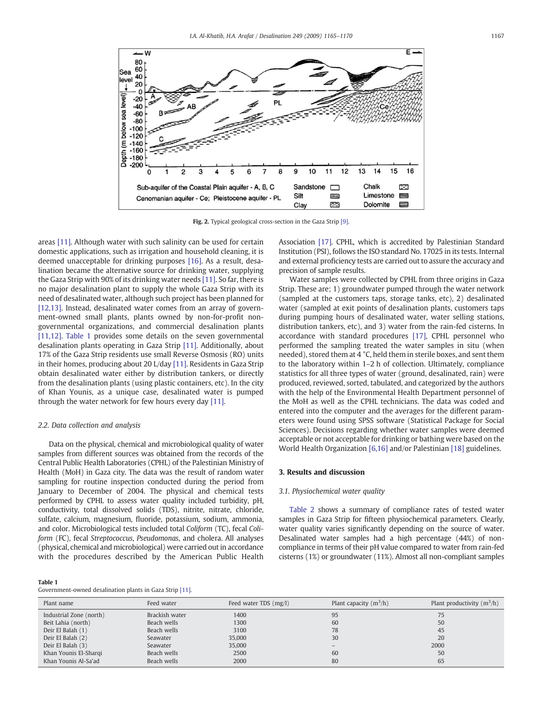<span id="page-2-0"></span>

Fig. 2. Typical geological cross-section in the Gaza Strip [\[9\].](#page-5-0)

areas [\[11\].](#page-5-0) Although water with such salinity can be used for certain domestic applications, such as irrigation and household cleaning, it is deemed unacceptable for drinking purposes [\[16\]](#page-5-0). As a result, desalination became the alternative source for drinking water, supplying the Gaza Strip with 90% of its drinking water needs [\[11\].](#page-5-0) So far, there is no major desalination plant to supply the whole Gaza Strip with its need of desalinated water, although such project has been planned for [\[12,13\]](#page-5-0). Instead, desalinated water comes from an array of government-owned small plants, plants owned by non-for-profit nongovernmental organizations, and commercial desalination plants [\[11,12\]](#page-5-0). Table 1 provides some details on the seven governmental desalination plants operating in Gaza Strip [\[11\].](#page-5-0) Additionally, about 17% of the Gaza Strip residents use small Reverse Osmosis (RO) units in their homes, producing about 20 L/day [\[11\]](#page-5-0). Residents in Gaza Strip obtain desalinated water either by distribution tankers, or directly from the desalination plants (using plastic containers, etc). In the city of Khan Younis, as a unique case, desalinated water is pumped through the water network for few hours every day [\[11\]](#page-5-0).

## 2.2. Data collection and analysis

Data on the physical, chemical and microbiological quality of water samples from different sources was obtained from the records of the Central Public Health Laboratories (CPHL) of the Palestinian Ministry of Health (MoH) in Gaza city. The data was the result of random water sampling for routine inspection conducted during the period from January to December of 2004. The physical and chemical tests performed by CPHL to assess water quality included turbidity, pH, conductivity, total dissolved solids (TDS), nitrite, nitrate, chloride, sulfate, calcium, magnesium, fluoride, potassium, sodium, ammonia, and color. Microbiological tests included total Coliform (TC), fecal Coliform (FC), fecal Streptococcus, Pseudomonas, and cholera. All analyses (physical, chemical and microbiological) were carried out in accordance with the procedures described by the American Public Health

Association [\[17\].](#page-5-0) CPHL, which is accredited by Palestinian Standard Institution (PSI), follows the ISO standard No. 17025 in its tests. Internal and external proficiency tests are carried out to assure the accuracy and precision of sample results.

Water samples were collected by CPHL from three origins in Gaza Strip. These are; 1) groundwater pumped through the water network (sampled at the customers taps, storage tanks, etc), 2) desalinated water (sampled at exit points of desalination plants, customers taps during pumping hours of desalinated water, water selling stations, distribution tankers, etc), and 3) water from the rain-fed cisterns. In accordance with standard procedures [\[17\]](#page-5-0), CPHL personnel who performed the sampling treated the water samples in situ (when needed), stored them at 4 °C, held them in sterile boxes, and sent them to the laboratory within 1–2 h of collection. Ultimately, compliance statistics for all three types of water (ground, desalinated, rain) were produced, reviewed, sorted, tabulated, and categorized by the authors with the help of the Environmental Health Department personnel of the MoH as well as the CPHL technicians. The data was coded and entered into the computer and the averages for the different parameters were found using SPSS software (Statistical Package for Social Sciences). Decisions regarding whether water samples were deemed acceptable or not acceptable for drinking or bathing were based on the World Health Organization [\[6,16\]](#page-5-0) and/or Palestinian [\[18\]](#page-5-0) guidelines.

# 3. Results and discussion

## 3.1. Physiochemical water quality

[Table 2](#page-3-0) shows a summary of compliance rates of tested water samples in Gaza Strip for fifteen physiochemical parameters. Clearly, water quality varies significantly depending on the source of water. Desalinated water samples had a high percentage (44%) of noncompliance in terms of their pH value compared to water from rain-fed cisterns (1%) or groundwater (11%). Almost all non-compliant samples

Table 1

| Plant name              | Feed water     | Feed water TDS (mg/l) | Plant capacity $(m^3/h)$ | Plant productivity $(m^3/h)$ |
|-------------------------|----------------|-----------------------|--------------------------|------------------------------|
| Industrial Zone (north) | Brackish water | 1400                  | 95                       | 75                           |
| Beit Lahia (north)      | Beach wells    | 1300                  | 60                       | 50                           |
| Deir El Balah (1)       | Beach wells    | 3100                  | 78                       | 45                           |
| Deir El Balah (2)       | Seawater       | 35,000                | 30                       | 20                           |
| Deir El Balah (3)       | Seawater       | 35,000                | -                        | 2000                         |
| Khan Younis El-Shargi   | Beach wells    | 2500                  | 60                       | 50                           |
| Khan Younis Al-Sa'ad    | Beach wells    | 2000                  | 80                       | 65                           |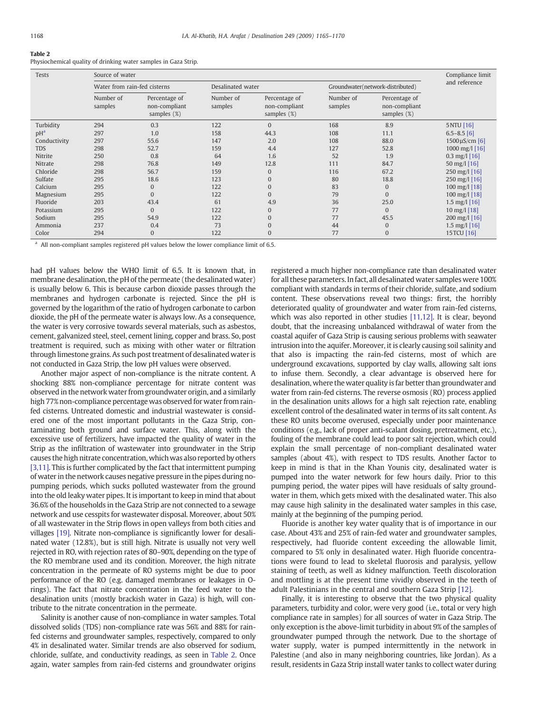<span id="page-3-0"></span>

|--|--|

Physiochemical quality of drinking water samples in Gaza Strip.

| Tests        |                      | Source of water                                  |                      |                                               |                      |                                                  |                                        |
|--------------|----------------------|--------------------------------------------------|----------------------|-----------------------------------------------|----------------------|--------------------------------------------------|----------------------------------------|
|              |                      | Water from rain-fed cisterns                     |                      | Desalinated water                             |                      | Groundwater(network-distributed)                 |                                        |
|              | Number of<br>samples | Percentage of<br>non-compliant<br>samples $(\%)$ | Number of<br>samples | Percentage of<br>non-compliant<br>samples (%) | Number of<br>samples | Percentage of<br>non-compliant<br>samples $(\%)$ |                                        |
| Turbidity    | 294                  | 0.3                                              | 122                  | $\Omega$                                      | 168                  | 8.9                                              | 5 NTU [16]                             |
| $pH^a$       | 297                  | 1.0                                              | 158                  | 44.3                                          | 108                  | 11.1                                             | $6.5 - 8.5$ [6]                        |
| Conductivity | 297                  | 55.6                                             | 147                  | 2.0                                           | 108                  | 88.0                                             | $1500 \mu S/cm$ [6]                    |
| <b>TDS</b>   | 298                  | 52.7                                             | 159                  | 4.4                                           | 127                  | 52.8                                             | 1000 mg/l [16]                         |
| Nitrite      | 250                  | 0.8                                              | 64                   | 1.6                                           | 52                   | 1.9                                              | $0.3 \text{ mg}/1 \text{ [}16\text{]}$ |
| Nitrate      | 298                  | 76.8                                             | 149                  | 12.8                                          | 111                  | 84.7                                             | 50 mg/l $[16]$                         |
| Chloride     | 298                  | 56.7                                             | 159                  | $\mathbf{0}$                                  | 116                  | 67.2                                             | 250 mg/l [16]                          |
| Sulfate      | 295                  | 18.6                                             | 123                  | $\mathbf{0}$                                  | 80                   | 18.8                                             | 250 mg/l [16]                          |
| Calcium      | 295                  | $\mathbf{0}$                                     | 122                  | $\mathbf{0}$                                  | 83                   | $\mathbf{0}$                                     | 100 mg/l $[18]$                        |
| Magnesium    | 295                  | $\Omega$                                         | 122                  | $\mathbf{0}$                                  | 79                   | $\Omega$                                         | 100 mg/l $[18]$                        |
| Fluoride     | 203                  | 43.4                                             | 61                   | 4.9                                           | 36                   | 25.0                                             | 1.5 mg/l $[16]$                        |
| Potassium    | 295                  | $\Omega$                                         | 122                  | $\mathbf{0}$                                  | 77                   | $\mathbf{0}$                                     | $10 \,\mathrm{mg}/l$ [18]              |
| Sodium       | 295                  | 54.9                                             | 122                  | $\mathbf{0}$                                  | 77                   | 45.5                                             | 200 mg/l [16]                          |
| Ammonia      | 237                  | 0.4                                              | 73                   | $\mathbf{0}$                                  | 44                   | $\mathbf{0}$                                     | 1.5 mg/l $[16]$                        |
| Color        | 294                  | $\mathbf{0}$                                     | 122                  | $\mathbf{0}$                                  | 77                   | $\mathbf{0}$                                     | 15 TCU [16]                            |

 $a$  All non-compliant samples registered pH values below the lower compliance limit of 6.5.

had pH values below the WHO limit of 6.5. It is known that, in membrane desalination, the pH of the permeate (the desalinated water) is usually below 6. This is because carbon dioxide passes through the membranes and hydrogen carbonate is rejected. Since the pH is governed by the logarithm of the ratio of hydrogen carbonate to carbon dioxide, the pH of the permeate water is always low. As a consequence, the water is very corrosive towards several materials, such as asbestos, cement, galvanized steel, steel, cement lining, copper and brass. So, post treatment is required, such as mixing with other water or filtration through limestone grains. As such post treatment of desalinated water is not conducted in Gaza Strip, the low pH values were observed.

Another major aspect of non-compliance is the nitrate content. A shocking 88% non-compliance percentage for nitrate content was observed in the network water from groundwater origin, and a similarly high 77% non-compliance percentage was observed for water from rainfed cisterns. Untreated domestic and industrial wastewater is considered one of the most important pollutants in the Gaza Strip, contaminating both ground and surface water. This, along with the excessive use of fertilizers, have impacted the quality of water in the Strip as the infiltration of wastewater into groundwater in the Strip causes the high nitrate concentration, which was also reported by others [\[3,11\]](#page-5-0). This is further complicated by the fact that intermittent pumping of water in the network causes negative pressure in the pipes during nopumping periods, which sucks polluted wastewater from the ground into the old leaky water pipes. It is important to keep in mind that about 36.6% of the households in the Gaza Strip are not connected to a sewage network and use cesspits for wastewater disposal. Moreover, about 50% of all wastewater in the Strip flows in open valleys from both cities and villages [\[19\]](#page-5-0). Nitrate non-compliance is significantly lower for desalinated water (12.8%), but is still high. Nitrate is usually not very well rejected in RO, with rejection rates of 80–90%, depending on the type of the RO membrane used and its condition. Moreover, the high nitrate concentration in the permeate of RO systems might be due to poor performance of the RO (e.g. damaged membranes or leakages in Orings). The fact that nitrate concentration in the feed water to the desalination units (mostly brackish water in Gaza) is high, will contribute to the nitrate concentration in the permeate.

Salinity is another cause of non-compliance in water samples. Total dissolved solids (TDS) non-compliance rate was 56% and 88% for rainfed cisterns and groundwater samples, respectively, compared to only 4% in desalinated water. Similar trends are also observed for sodium, chloride, sulfate, and conductivity readings, as seen in Table 2. Once again, water samples from rain-fed cisterns and groundwater origins registered a much higher non-compliance rate than desalinated water for all these parameters. In fact, all desalinated water samples were 100% compliant with standards in terms of their chloride, sulfate, and sodium content. These observations reveal two things: first, the horribly deteriorated quality of groundwater and water from rain-fed cisterns, which was also reported in other studies [\[11,12\].](#page-5-0) It is clear, beyond doubt, that the increasing unbalanced withdrawal of water from the coastal aquifer of Gaza Strip is causing serious problems with seawater intrusion into the aquifer. Moreover, it is clearly causing soil salinity and that also is impacting the rain-fed cisterns, most of which are underground excavations, supported by clay walls, allowing salt ions to infuse them. Secondly, a clear advantage is observed here for desalination, where the water quality is far better than groundwater and water from rain-fed cisterns. The reverse osmosis (RO) process applied in the desalination units allows for a high salt rejection rate, enabling excellent control of the desalinated water in terms of its salt content. As these RO units become overused, especially under poor maintenance conditions (e.g., lack of proper anti-scalant dosing, pretreatment, etc.), fouling of the membrane could lead to poor salt rejection, which could explain the small percentage of non-compliant desalinated water samples (about 4%), with respect to TDS results. Another factor to keep in mind is that in the Khan Younis city, desalinated water is pumped into the water network for few hours daily. Prior to this pumping period, the water pipes will have residuals of salty groundwater in them, which gets mixed with the desalinated water. This also may cause high salinity in the desalinated water samples in this case, mainly at the beginning of the pumping period.

Fluoride is another key water quality that is of importance in our case. About 43% and 25% of rain-fed water and groundwater samples, respectively, had fluoride content exceeding the allowable limit, compared to 5% only in desalinated water. High fluoride concentrations were found to lead to skeletal fluorosis and paralysis, yellow staining of teeth, as well as kidney malfunction. Teeth discoloration and mottling is at the present time vividly observed in the teeth of adult Palestinians in the central and southern Gaza Strip [\[12\].](#page-5-0)

Finally, it is interesting to observe that the two physical quality parameters, turbidity and color, were very good (i.e., total or very high compliance rate in samples) for all sources of water in Gaza Strip. The only exception is the above-limit turbidity in about 9% of the samples of groundwater pumped through the network. Due to the shortage of water supply, water is pumped intermittently in the network in Palestine (and also in many neighboring countries, like Jordan). As a result, residents in Gaza Strip install water tanks to collect water during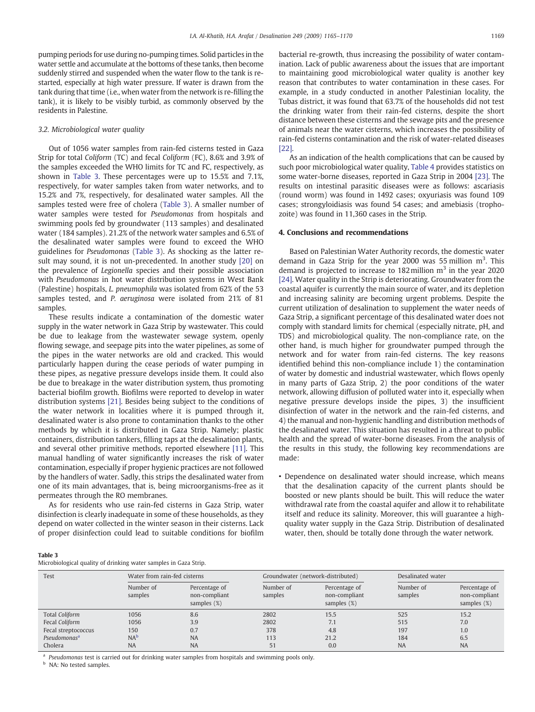pumping periods for use during no-pumping times. Solid particles in the water settle and accumulate at the bottoms of these tanks, then become suddenly stirred and suspended when the water flow to the tank is restarted, especially at high water pressure. If water is drawn from the tank during that time (i.e., when water from the network is re-filling the tank), it is likely to be visibly turbid, as commonly observed by the residents in Palestine.

# 3.2. Microbiological water quality

Out of 1056 water samples from rain-fed cisterns tested in Gaza Strip for total Coliform (TC) and fecal Coliform (FC), 8.6% and 3.9% of the samples exceeded the WHO limits for TC and FC, respectively, as shown in Table 3. These percentages were up to 15.5% and 7.1%, respectively, for water samples taken from water networks, and to 15.2% and 7%, respectively, for desalinated water samples. All the samples tested were free of cholera (Table 3). A smaller number of water samples were tested for Pseudomonas from hospitals and swimming pools fed by groundwater (113 samples) and desalinated water (184 samples). 21.2% of the network water samples and 6.5% of the desalinated water samples were found to exceed the WHO guidelines for Pseudomonas (Table 3). As shocking as the latter result may sound, it is not un-precedented. In another study [\[20\]](#page-5-0) on the prevalence of Legionella species and their possible association with Pseudomonas in hot water distribution systems in West Bank (Palestine) hospitals, L. pneumophila was isolated from 62% of the 53 samples tested, and P. aeruginosa were isolated from 21% of 81 samples.

These results indicate a contamination of the domestic water supply in the water network in Gaza Strip by wastewater. This could be due to leakage from the wastewater sewage system, openly flowing sewage, and seepage pits into the water pipelines, as some of the pipes in the water networks are old and cracked. This would particularly happen during the cease periods of water pumping in these pipes, as negative pressure develops inside them. It could also be due to breakage in the water distribution system, thus promoting bacterial biofilm growth. Biofilms were reported to develop in water distribution systems [\[21\].](#page-5-0) Besides being subject to the conditions of the water network in localities where it is pumped through it, desalinated water is also prone to contamination thanks to the other methods by which it is distributed in Gaza Strip. Namely; plastic containers, distribution tankers, filling taps at the desalination plants, and several other primitive methods, reported elsewhere [\[11\].](#page-5-0) This manual handling of water significantly increases the risk of water contamination, especially if proper hygienic practices are not followed by the handlers of water. Sadly, this strips the desalinated water from one of its main advantages, that is, being microorganisms-free as it permeates through the RO membranes.

As for residents who use rain-fed cisterns in Gaza Strip, water disinfection is clearly inadequate in some of these households, as they depend on water collected in the winter season in their cisterns. Lack of proper disinfection could lead to suitable conditions for biofilm

bacterial re-growth, thus increasing the possibility of water contamination. Lack of public awareness about the issues that are important to maintaining good microbiological water quality is another key reason that contributes to water contamination in these cases. For example, in a study conducted in another Palestinian locality, the Tubas district, it was found that 63.7% of the households did not test the drinking water from their rain-fed cisterns, despite the short distance between these cisterns and the sewage pits and the presence of animals near the water cisterns, which increases the possibility of rain-fed cisterns contamination and the risk of water-related diseases [\[22\]](#page-5-0).

As an indication of the health complications that can be caused by such poor microbiological water quality, [Table 4](#page-5-0) provides statistics on some water-borne diseases, reported in Gaza Strip in 2004 [\[23\].](#page-5-0) The results on intestinal parasitic diseases were as follows: ascariasis (round worm) was found in 1492 cases; oxyuriasis was found 109 cases; strongyloidiasis was found 54 cases; and amebiasis (trophozoite) was found in 11,360 cases in the Strip.

## 4. Conclusions and recommendations

Based on Palestinian Water Authority records, the domestic water demand in Gaza Strip for the year 2000 was 55 million  $m<sup>3</sup>$ . This demand is projected to increase to 182 million  $m<sup>3</sup>$  in the year 2020 [\[24\]](#page-5-0). Water quality in the Strip is deteriorating. Groundwater from the coastal aquifer is currently the main source of water, and its depletion and increasing salinity are becoming urgent problems. Despite the current utilization of desalination to supplement the water needs of Gaza Strip, a significant percentage of this desalinated water does not comply with standard limits for chemical (especially nitrate, pH, and TDS) and microbiological quality. The non-compliance rate, on the other hand, is much higher for groundwater pumped through the network and for water from rain-fed cisterns. The key reasons identified behind this non-compliance include 1) the contamination of water by domestic and industrial wastewater, which flows openly in many parts of Gaza Strip, 2) the poor conditions of the water network, allowing diffusion of polluted water into it, especially when negative pressure develops inside the pipes, 3) the insufficient disinfection of water in the network and the rain-fed cisterns, and 4) the manual and non-hygienic handling and distribution methods of the desalinated water. This situation has resulted in a threat to public health and the spread of water-borne diseases. From the analysis of the results in this study, the following key recommendations are made:

• Dependence on desalinated water should increase, which means that the desalination capacity of the current plants should be boosted or new plants should be built. This will reduce the water withdrawal rate from the coastal aquifer and allow it to rehabilitate itself and reduce its salinity. Moreover, this will guarantee a highquality water supply in the Gaza Strip. Distribution of desalinated water, then, should be totally done through the water network.

#### Table 3

Microbiological quality of drinking water samples in Gaza Strip.

| Test                     | $\sim$<br>Water from rain-fed cisterns |                                                  |                      | Groundwater (network-distributed)                |                      | Desalinated water                                |  |
|--------------------------|----------------------------------------|--------------------------------------------------|----------------------|--------------------------------------------------|----------------------|--------------------------------------------------|--|
|                          | Number of<br>samples                   | Percentage of<br>non-compliant<br>samples $(\%)$ | Number of<br>samples | Percentage of<br>non-compliant<br>samples $(\%)$ | Number of<br>samples | Percentage of<br>non-compliant<br>samples $(\%)$ |  |
| Total Coliform           | 1056                                   | 8.6                                              | 2802                 | 15.5                                             | 525                  | 15.2                                             |  |
| Fecal Coliform           | 1056                                   | 3.9                                              | 2802                 | 7.1                                              | 515                  | 7.0                                              |  |
| Fecal streptococcus      | 150                                    | 0.7                                              | 378                  | 4.8                                              | 197                  | 1.0                                              |  |
| Pseudomonas <sup>a</sup> | NA <sup>b</sup>                        | <b>NA</b>                                        | 113                  | 21.2                                             | 184                  | 6.5                                              |  |
| Cholera                  | <b>NA</b>                              | <b>NA</b>                                        | 51                   | 0.0                                              | <b>NA</b>            | <b>NA</b>                                        |  |

<sup>a</sup> Pseudomonas test is carried out for drinking water samples from hospitals and swimming pools only.

NA: No tested samples.